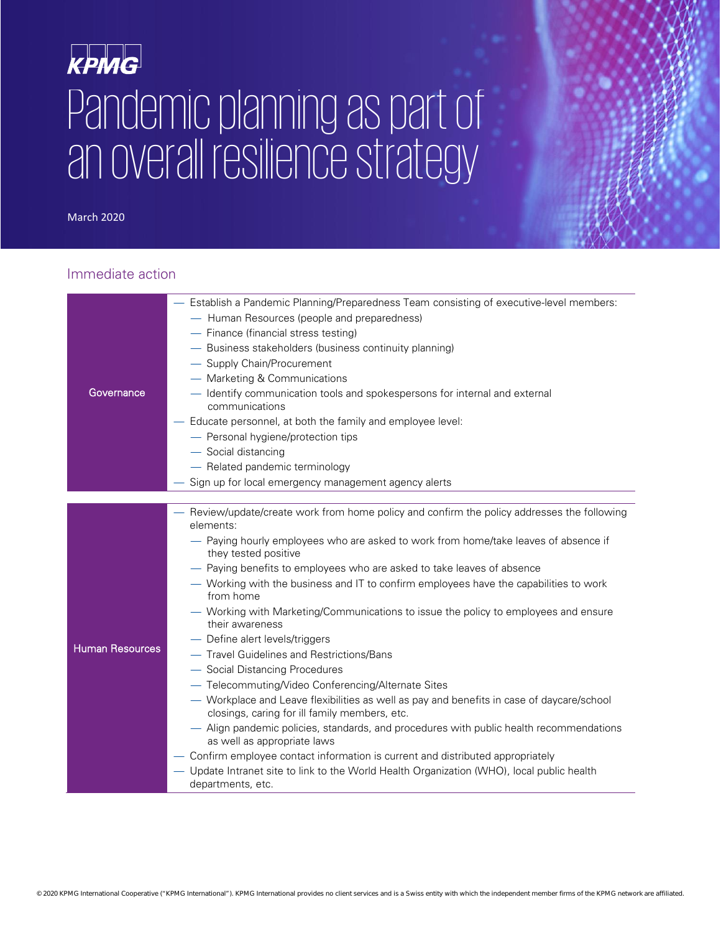# KPMG Pandemic planning as part of an overall resilience strategy

March 2020

#### Immediate action

| Governance      | - Establish a Pandemic Planning/Preparedness Team consisting of executive-level members:<br>- Human Resources (people and preparedness)<br>- Finance (financial stress testing)<br>- Business stakeholders (business continuity planning)<br>- Supply Chain/Procurement<br>- Marketing & Communications<br>- Identify communication tools and spokespersons for internal and external<br>communications<br>- Educate personnel, at both the family and employee level:<br>- Personal hygiene/protection tips<br>- Social distancing<br>- Related pandemic terminology                                                                                                                                                                                                                                                                                                                                                                                                                                                                                                                                                                                                  |
|-----------------|------------------------------------------------------------------------------------------------------------------------------------------------------------------------------------------------------------------------------------------------------------------------------------------------------------------------------------------------------------------------------------------------------------------------------------------------------------------------------------------------------------------------------------------------------------------------------------------------------------------------------------------------------------------------------------------------------------------------------------------------------------------------------------------------------------------------------------------------------------------------------------------------------------------------------------------------------------------------------------------------------------------------------------------------------------------------------------------------------------------------------------------------------------------------|
|                 | Sign up for local emergency management agency alerts                                                                                                                                                                                                                                                                                                                                                                                                                                                                                                                                                                                                                                                                                                                                                                                                                                                                                                                                                                                                                                                                                                                   |
|                 |                                                                                                                                                                                                                                                                                                                                                                                                                                                                                                                                                                                                                                                                                                                                                                                                                                                                                                                                                                                                                                                                                                                                                                        |
| Human Resources | - Review/update/create work from home policy and confirm the policy addresses the following<br>elements:<br>- Paying hourly employees who are asked to work from home/take leaves of absence if<br>they tested positive<br>- Paying benefits to employees who are asked to take leaves of absence<br>- Working with the business and IT to confirm employees have the capabilities to work<br>from home<br>- Working with Marketing/Communications to issue the policy to employees and ensure<br>their awareness<br>- Define alert levels/triggers<br>- Travel Guidelines and Restrictions/Bans<br>- Social Distancing Procedures<br>- Telecommuting/Video Conferencing/Alternate Sites<br>- Workplace and Leave flexibilities as well as pay and benefits in case of daycare/school<br>closings, caring for ill family members, etc.<br>- Align pandemic policies, standards, and procedures with public health recommendations<br>as well as appropriate laws<br>- Confirm employee contact information is current and distributed appropriately<br>- Update Intranet site to link to the World Health Organization (WHO), local public health<br>departments, etc. |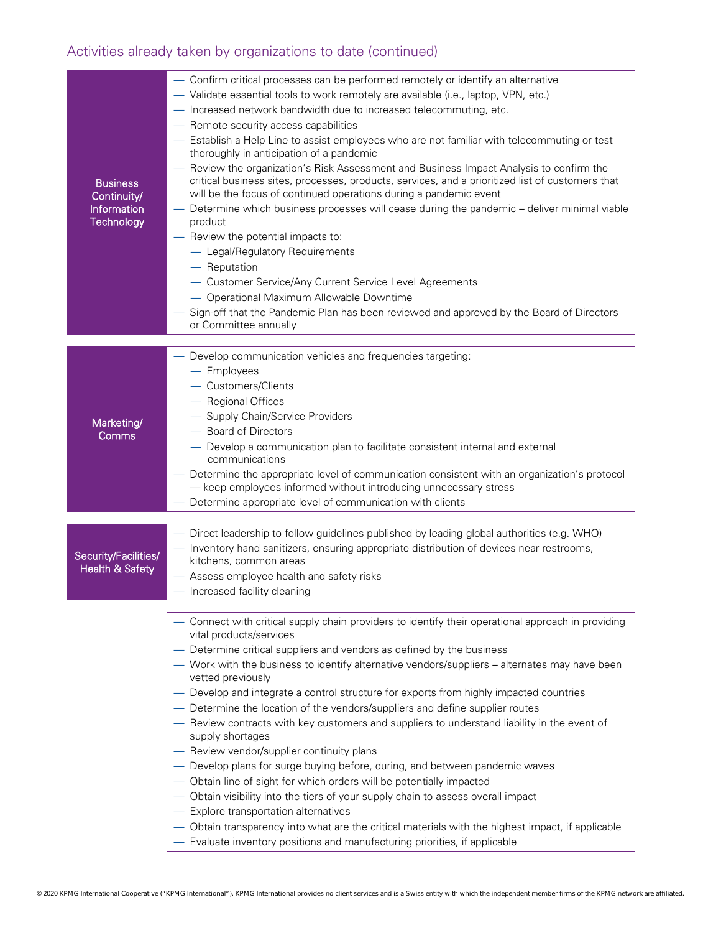# Activities already taken by organizations to date (continued)

| <b>Business</b><br>Continuity/<br>Information<br>Technology | - Confirm critical processes can be performed remotely or identify an alternative<br>- Validate essential tools to work remotely are available (i.e., laptop, VPN, etc.)<br>- Increased network bandwidth due to increased telecommuting, etc.<br>- Remote security access capabilities<br>- Establish a Help Line to assist employees who are not familiar with telecommuting or test<br>thoroughly in anticipation of a pandemic<br>- Review the organization's Risk Assessment and Business Impact Analysis to confirm the<br>critical business sites, processes, products, services, and a prioritized list of customers that<br>will be the focus of continued operations during a pandemic event<br>Determine which business processes will cease during the pandemic - deliver minimal viable<br>product<br>- Review the potential impacts to:<br>- Legal/Regulatory Requirements<br>- Reputation<br>- Customer Service/Any Current Service Level Agreements<br>- Operational Maximum Allowable Downtime<br>- Sign-off that the Pandemic Plan has been reviewed and approved by the Board of Directors<br>or Committee annually        |
|-------------------------------------------------------------|-----------------------------------------------------------------------------------------------------------------------------------------------------------------------------------------------------------------------------------------------------------------------------------------------------------------------------------------------------------------------------------------------------------------------------------------------------------------------------------------------------------------------------------------------------------------------------------------------------------------------------------------------------------------------------------------------------------------------------------------------------------------------------------------------------------------------------------------------------------------------------------------------------------------------------------------------------------------------------------------------------------------------------------------------------------------------------------------------------------------------------------------------|
| Marketing/<br>Comms                                         | - Develop communication vehicles and frequencies targeting:<br>$-$ Employees<br>- Customers/Clients<br>- Regional Offices<br>- Supply Chain/Service Providers<br>- Board of Directors<br>- Develop a communication plan to facilitate consistent internal and external<br>communications<br>Determine the appropriate level of communication consistent with an organization's protocol<br>- keep employees informed without introducing unnecessary stress<br>- Determine appropriate level of communication with clients                                                                                                                                                                                                                                                                                                                                                                                                                                                                                                                                                                                                                    |
| Security/Facilities/<br><b>Health &amp; Safety</b>          | - Direct leadership to follow guidelines published by leading global authorities (e.g. WHO)<br>- Inventory hand sanitizers, ensuring appropriate distribution of devices near restrooms,<br>kitchens, common areas<br>- Assess employee health and safety risks<br>- Increased facility cleaning                                                                                                                                                                                                                                                                                                                                                                                                                                                                                                                                                                                                                                                                                                                                                                                                                                              |
|                                                             | - Connect with critical supply chain providers to identify their operational approach in providing<br>vital products/services<br>- Determine critical suppliers and vendors as defined by the business<br>- Work with the business to identify alternative vendors/suppliers - alternates may have been<br>vetted previously<br>- Develop and integrate a control structure for exports from highly impacted countries<br>- Determine the location of the vendors/suppliers and define supplier routes<br>- Review contracts with key customers and suppliers to understand liability in the event of<br>supply shortages<br>- Review vendor/supplier continuity plans<br>- Develop plans for surge buying before, during, and between pandemic waves<br>- Obtain line of sight for which orders will be potentially impacted<br>- Obtain visibility into the tiers of your supply chain to assess overall impact<br>- Explore transportation alternatives<br>- Obtain transparency into what are the critical materials with the highest impact, if applicable<br>- Evaluate inventory positions and manufacturing priorities, if applicable |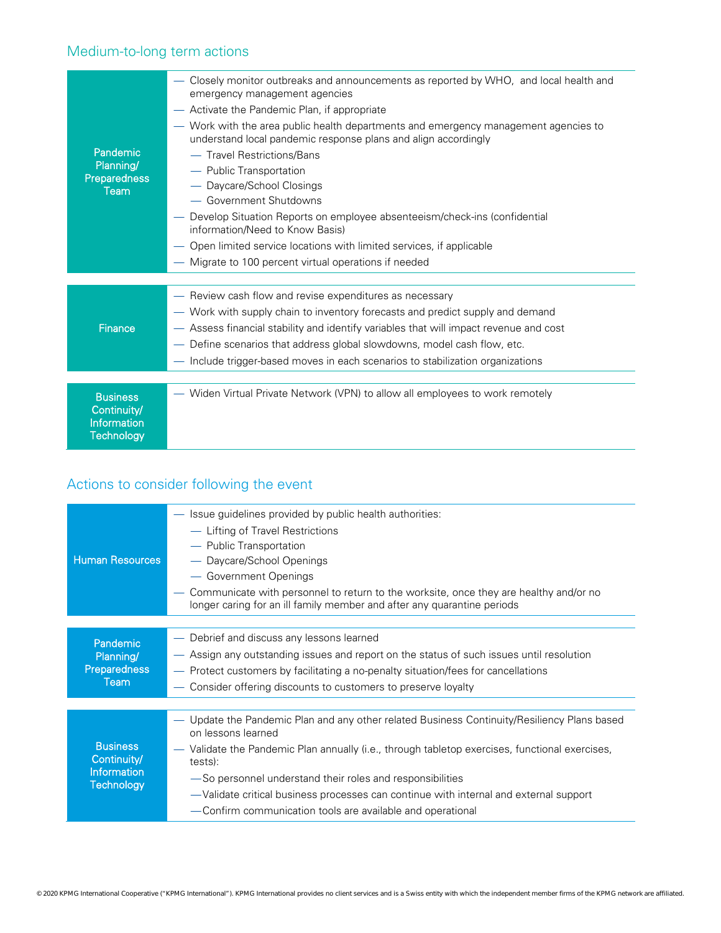## Medium-to-long term actions

| Pandemic<br>Planning/<br><b>Preparedness</b><br><b>Team</b>               | Closely monitor outbreaks and announcements as reported by WHO, and local health and<br>emergency management agencies<br>Activate the Pandemic Plan, if appropriate<br>Work with the area public health departments and emergency management agencies to<br>understand local pandemic response plans and align accordingly<br>- Travel Restrictions/Bans<br>- Public Transportation<br>- Daycare/School Closings<br>- Government Shutdowns<br>Develop Situation Reports on employee absenteeism/check-ins (confidential<br>information/Need to Know Basis)<br>Open limited service locations with limited services, if applicable<br>Migrate to 100 percent virtual operations if needed |
|---------------------------------------------------------------------------|------------------------------------------------------------------------------------------------------------------------------------------------------------------------------------------------------------------------------------------------------------------------------------------------------------------------------------------------------------------------------------------------------------------------------------------------------------------------------------------------------------------------------------------------------------------------------------------------------------------------------------------------------------------------------------------|
| Finance                                                                   | - Review cash flow and revise expenditures as necessary<br>- Work with supply chain to inventory forecasts and predict supply and demand<br>Assess financial stability and identify variables that will impact revenue and cost<br>Define scenarios that address global slowdowns, model cash flow, etc.<br>- Include trigger-based moves in each scenarios to stabilization organizations                                                                                                                                                                                                                                                                                               |
| <b>Business</b><br>Continuity/<br><b>Information</b><br><b>Technology</b> | — Widen Virtual Private Network (VPN) to allow all employees to work remotely                                                                                                                                                                                                                                                                                                                                                                                                                                                                                                                                                                                                            |

### Actions to consider following the event

| <b>Human Resources</b>                                             | - Issue guidelines provided by public health authorities:<br>- Lifting of Travel Restrictions<br>- Public Transportation<br>- Daycare/School Openings<br>- Government Openings<br>Communicate with personnel to return to the worksite, once they are healthy and/or no<br>longer caring for an ill family member and after any quarantine periods                                                                                             |  |  |
|--------------------------------------------------------------------|------------------------------------------------------------------------------------------------------------------------------------------------------------------------------------------------------------------------------------------------------------------------------------------------------------------------------------------------------------------------------------------------------------------------------------------------|--|--|
|                                                                    |                                                                                                                                                                                                                                                                                                                                                                                                                                                |  |  |
| Pandemic<br>Planning/<br><b>Preparedness</b><br>Team               | - Debrief and discuss any lessons learned<br>— Assign any outstanding issues and report on the status of such issues until resolution<br>- Protect customers by facilitating a no-penalty situation/fees for cancellations<br>Consider offering discounts to customers to preserve loyalty                                                                                                                                                     |  |  |
|                                                                    |                                                                                                                                                                                                                                                                                                                                                                                                                                                |  |  |
| <b>Business</b><br>Continuity/<br>Information<br><b>Technology</b> | Update the Pandemic Plan and any other related Business Continuity/Resiliency Plans based<br>on lessons learned<br>Validate the Pandemic Plan annually (i.e., through tabletop exercises, functional exercises,<br>tests):<br>-So personnel understand their roles and responsibilities<br>-Validate critical business processes can continue with internal and external support<br>-Confirm communication tools are available and operational |  |  |